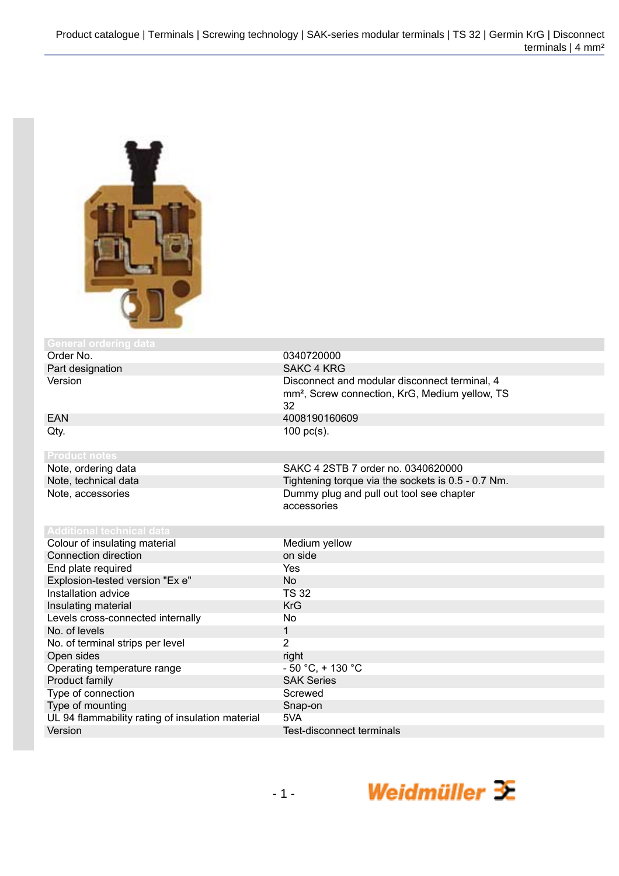

## **General ordering da**

| Order No.                                        | 0340720000                                                                                                        |
|--------------------------------------------------|-------------------------------------------------------------------------------------------------------------------|
| Part designation                                 | <b>SAKC 4 KRG</b>                                                                                                 |
| Version                                          | Disconnect and modular disconnect terminal, 4<br>mm <sup>2</sup> , Screw connection, KrG, Medium yellow, TS<br>32 |
| <b>EAN</b>                                       | 4008190160609                                                                                                     |
| Qty.                                             | $100$ pc(s).                                                                                                      |
| <b>Product notes</b>                             |                                                                                                                   |
| Note, ordering data                              | SAKC 4 2STB 7 order no. 0340620000                                                                                |
| Note, technical data                             | Tightening torque via the sockets is 0.5 - 0.7 Nm.                                                                |
| Note, accessories                                | Dummy plug and pull out tool see chapter<br>accessories                                                           |
| <b>Additional technical data</b>                 |                                                                                                                   |
| Colour of insulating material                    | Medium yellow                                                                                                     |
| Connection direction                             | on side                                                                                                           |
| End plate required                               | Yes                                                                                                               |
| Explosion-tested version "Ex e"                  | <b>No</b>                                                                                                         |
| Installation advice                              | <b>TS 32</b>                                                                                                      |
| Insulating material                              | <b>KrG</b>                                                                                                        |
| Levels cross-connected internally                | No                                                                                                                |
| No. of levels                                    | $\mathbf{1}$                                                                                                      |
| No. of terminal strips per level                 | $\overline{2}$                                                                                                    |
| Open sides                                       | right                                                                                                             |
| Operating temperature range                      | $-50 °C$ , $+130 °C$                                                                                              |
| Product family                                   | <b>SAK Series</b>                                                                                                 |
| Type of connection                               | Screwed                                                                                                           |
| Type of mounting                                 | Snap-on                                                                                                           |
| UL 94 flammability rating of insulation material | 5VA                                                                                                               |
| Version                                          | <b>Test-disconnect terminals</b>                                                                                  |

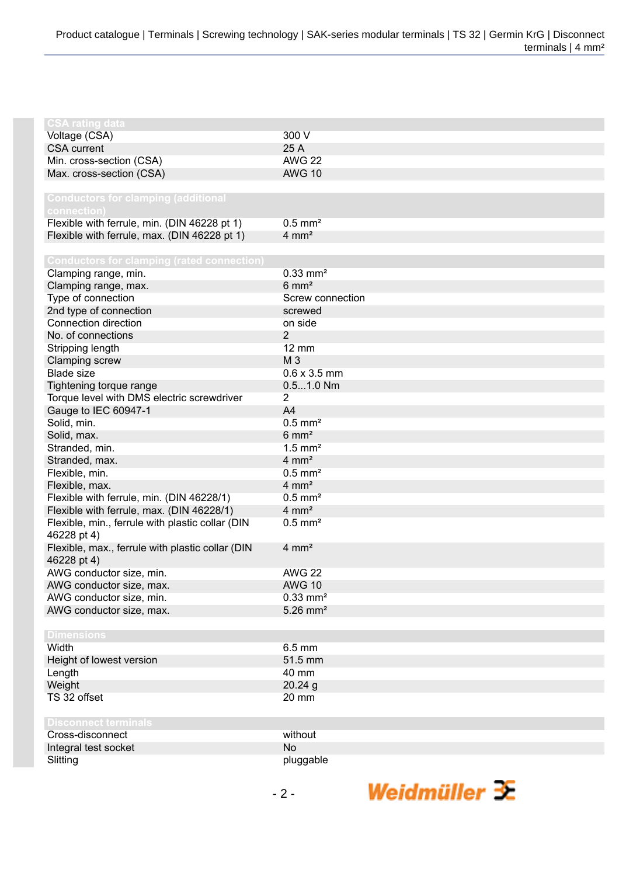| <b>CSA rating data</b>                            |                        |
|---------------------------------------------------|------------------------|
|                                                   | 300 V                  |
| Voltage (CSA)<br><b>CSA</b> current               | 25 A                   |
| Min. cross-section (CSA)                          | <b>AWG 22</b>          |
|                                                   |                        |
| Max. cross-section (CSA)                          | <b>AWG 10</b>          |
|                                                   |                        |
| <b>Conductors for clamping (additional</b>        |                        |
| connection)                                       |                        |
| Flexible with ferrule, min. (DIN 46228 pt 1)      | $0.5$ mm <sup>2</sup>  |
| Flexible with ferrule, max. (DIN 46228 pt 1)      | $4 \, \text{mm}^2$     |
|                                                   |                        |
| <b>Conductors for clamping (rated connection)</b> |                        |
| Clamping range, min.                              | $0.33$ mm <sup>2</sup> |
| Clamping range, max.                              | $6 \text{ mm}^2$       |
| Type of connection                                | Screw connection       |
| 2nd type of connection                            | screwed                |
| Connection direction                              | on side                |
| No. of connections                                | $\overline{2}$         |
| Stripping length                                  | $12 \text{ mm}$        |
| Clamping screw                                    | M 3                    |
| <b>Blade size</b>                                 | $0.6 \times 3.5$ mm    |
| Tightening torque range                           | $0.51.0$ Nm            |
| Torque level with DMS electric screwdriver        | $\overline{2}$         |
| Gauge to IEC 60947-1                              | A4                     |
| Solid, min.                                       | $0.5$ mm <sup>2</sup>  |
| Solid, max.                                       | $6 \text{ mm}^2$       |
| Stranded, min.                                    | $1.5$ mm <sup>2</sup>  |
| Stranded, max.                                    | $4 \text{ mm}^2$       |
| Flexible, min.                                    | $0.5$ mm <sup>2</sup>  |
| Flexible, max.                                    | $4 \text{ mm}^2$       |
| Flexible with ferrule, min. (DIN 46228/1)         | $0.5$ mm <sup>2</sup>  |
| Flexible with ferrule, max. (DIN 46228/1)         | $4 \text{ mm}^2$       |
| Flexible, min., ferrule with plastic collar (DIN  | $0.5$ mm <sup>2</sup>  |
| 46228 pt 4)                                       |                        |
| Flexible, max., ferrule with plastic collar (DIN  | $4 \text{ mm}^2$       |
| 46228 pt 4)                                       |                        |
| AWG conductor size, min.                          | <b>AWG 22</b>          |
| AWG conductor size, max.                          | <b>AWG 10</b>          |
| AWG conductor size, min.                          | $0.33$ mm <sup>2</sup> |
| AWG conductor size, max.                          | $5.26$ mm <sup>2</sup> |
|                                                   |                        |
| <b>Dimensions</b>                                 |                        |
| Width                                             | $6.5 \text{ mm}$       |
| Height of lowest version                          | 51.5 mm                |
| Length                                            | 40 mm                  |
| Weight                                            | 20.24g                 |
| TS 32 offset                                      | 20 mm                  |
|                                                   |                        |
| <b>Disconnect terminals</b>                       |                        |
| Cross-disconnect                                  | without                |
| Integral test socket                              | <b>No</b>              |
| Slitting                                          | pluggable              |
|                                                   |                        |